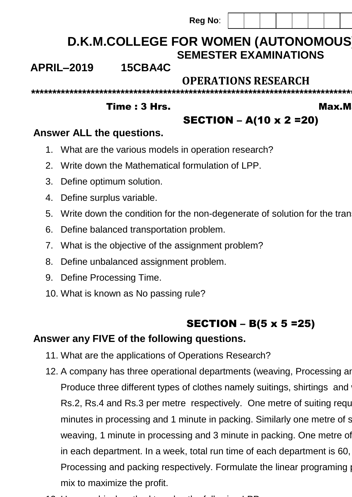**Reg No**:

**\*\*\*\*\*\*\*\*\*\*\*\*\*\*\*\*\*\*\*\*\*\*\*\*\*\*\*\*\*\*\*\*\*\*\*\*\*\*\*\*\*\*\*\*\*\*\*\*\*\*\*\*\*\*\*\*\*\*\*\*\*\*\*\*\*\*\*\*\*\*\*\*\*\*\*\*\*\*\*\*\*\*\*\*\*\*\*\*\*\*\*\*\*\*\*\*\*\*\*\*\*\*\***

# **D.K.M.COLLEGE FOR WOMEN (AUTONOMOUS) SEMESTER EXAMINATIONS**

# **APRIL–2019 15CBA4C**

# **OPERATIONS RESEARCH**

Time : 3 Hrs. Max.M

# SECTION – A(10 x 2 =20)

## **Answer ALL the questions.**

- 1. What are the various models in operation research?
- 2. Write down the Mathematical formulation of LPP.
- 3. Define optimum solution.
- 4. Define surplus variable.
- 5. Write down the condition for the non-degenerate of solution for the tran
- 6. Define balanced transportation problem.
- 7. What is the objective of the assignment problem?
- 8. Define unbalanced assignment problem.
- 9. Define Processing Time.
- 10. What is known as No passing rule?

# **SECTION** – **B**(5  $\times$  5 = 25)

### **Answer any FIVE of the following questions.**

- 11. What are the applications of Operations Research?
- 12. A company has three operational departments (weaving, Processing and Packing) with capacity of  $\alpha$ Produce three different types of clothes namely suitings, shirtings and Rs.2, Rs.4 and Rs.3 per metre respectively. One metre of suiting requally minutes in processing and 1 minute in packing. Similarly one metre of shirting republic reputation reputation weaving, 1 minute in processing and 3 minute in packing. One metre of in each department. In a week, total run time of each department is 60, Processing and packing respectively. Formulate the linear programing mix to maximize the profit.
- 13. Use graphical method to solve the following LPP: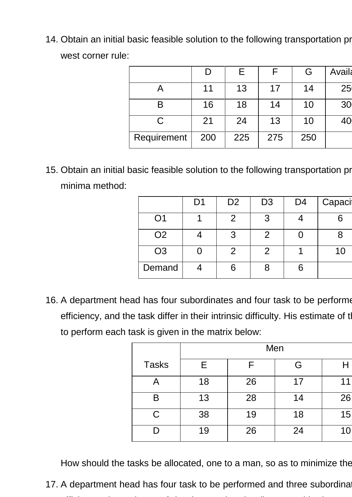14. Obtain an initial basic feasible solution to the following transportation pr west corner rule:

|             | D   | E.  |     | G   | <b>Availa</b> |
|-------------|-----|-----|-----|-----|---------------|
|             | 11  | 13  | 17  | 14  | 25            |
| B           | 16  | 18  | 14  | 10  | 30            |
| С           | 21  | 24  | 13  | 10  | 40            |
| Requirement | 200 | 225 | 275 | 250 |               |

15. Obtain an initial basic feasible solution to the following transportation problem by minima method:

|                | D <sub>1</sub> | D <sub>2</sub> | D <sub>3</sub> | D <sub>4</sub> | Capaci |
|----------------|----------------|----------------|----------------|----------------|--------|
| O <sub>1</sub> |                | 2              | 3              |                | 6      |
| O <sub>2</sub> |                | 3              | 2              |                |        |
| O <sub>3</sub> |                | $\overline{2}$ | $\overline{2}$ |                | 10     |
| Demand         |                | 6              |                |                |        |

16. A department head has four subordinates and four task to be performe efficiency, and the task differ in their intrinsic difficulty. His estimate of the to perform each task is given in the matrix below:

|              |    |    | Men |    |
|--------------|----|----|-----|----|
| <b>Tasks</b> | Е  |    | G   | Н  |
| Α            | 18 | 26 | 17  | 11 |
| B            | 13 | 28 | 14  | 26 |
| C            | 38 | 19 | 18  | 15 |
|              | 19 | 26 | 24  | 10 |

How should the tasks be allocated, one to a man, so as to minimize the

17. A department head has four task to be performed and three subordina efficiency, the estimate of the time each subordinate would take to perform is given below in the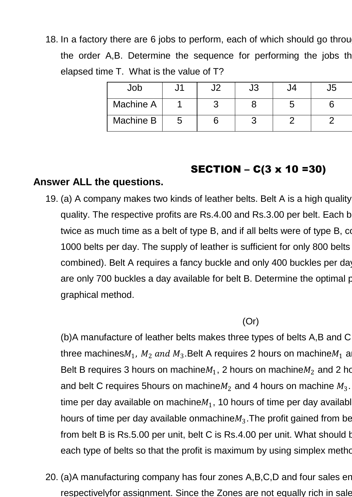18. In a factory there are 6 jobs to perform, each of which should go through the order A,B. Determine the sequence for performing the jobs the elapsed time T. What is the value of T?

| Job              | u | J3 | J5 |
|------------------|---|----|----|
| <b>Machine A</b> |   |    |    |
| Machine B        | ა |    |    |

#### SECTION – C(3 x 10 =30)

#### **Answer ALL the questions.**

19. (a) A company makes two kinds of leather belts. Belt A is a high quality quality. The respective profits are Rs.4.00 and Rs.3.00 per belt. Each b twice as much time as a belt of type B, and if all belts were of type B, comparison 1000 belts per day. The supply of leather is sufficient for only 800 belts combined). Belt A requires a fancy buckle and only 400 buckles per day are only 700 buckles a day available for belt B. Determine the optimal portional graphical method.

(Or)

(b)A manufacture of leather belts makes three types of belts A,B and C three machines $M_1$ ,  $M_2$   $and$   $M_3.$ Belt A requires 2 hours on machine $M_1$  al Belt B requires 3 hours on machine $M_1$ , 2 hours on machine $M_2$  and 2 ho and belt C requires 5 hours on machine  $M_2$  and 4 hours on machine  $M_3$ .  $\ddot{\phantom{a}}$ time per day available on machine $M_1$ , 10 hours of time per day availabl hours of time per day available onmachine $M_3$ .The profit gained from be from belt B is Rs.5.00 per unit, belt C is Rs.4.00 per unit. What should b each type of belts so that the profit is maximum by using simplex method.

20. (a)A manufacturing company has four zones A,B,C,D and four sales en respectivelyfor assignment. Since the Zones are not equally rich in sale